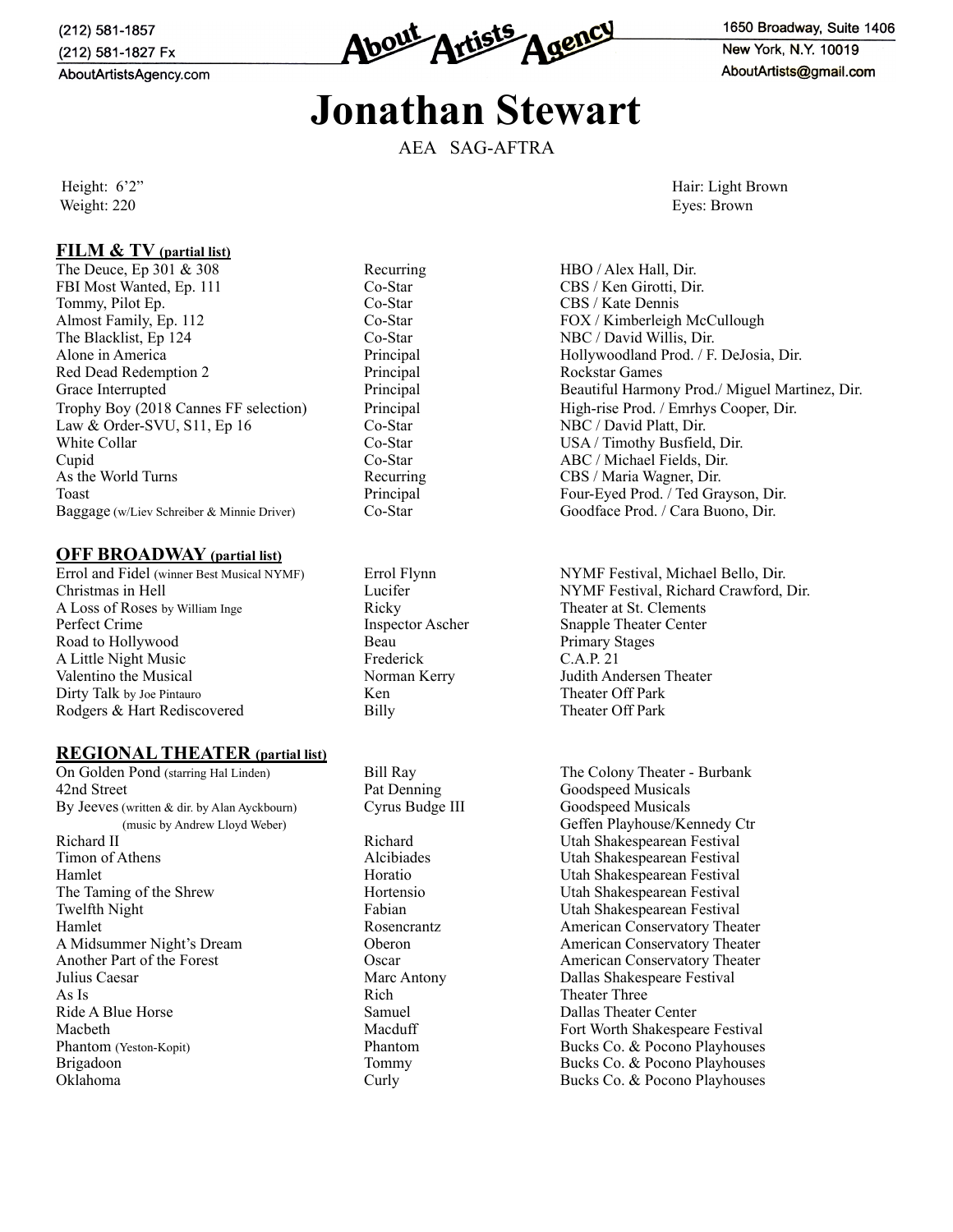(212) 581-1857 (212) 581-1827 Fx AboutArtistsAgency.com



1650 Broadway, Suite 1406 New York, N.Y. 10019 AboutArtists@gmail.com

# **Jonathan Stewart**

AEA SAG-AFTRA

### **FILM & TV (partial list)**

The Deuce, Ep 301 & 308 Recurring HBO / Alex Hall, Dir. FBI Most Wanted, Ep. 111 Co-Star Co-Star CBS / Ken Girotti, Dir. Tommy, Pilot Ep. Co-Star Co-Star CBS / Kate Dennis Almost Family, Ep. 112 Co-Star FOX / Kimberleigh McCullough The Blacklist, Ep 124 Co-Star NBC / David Willis, Dir. Alone in America **Principal Principal Community** Hollywoodland Prod. / F. DeJosia, Dir.<br>
Red Dead Redemption 2 **Principal** Principal Rockstar Games Red Dead Redemption 2 Trophy Boy (2018 Cannes FF selection) Principal High-rise Prod. / Emrhys Cooper, Dir. Law & Order-SVU, S11, Ep 16 Co-Star NBC / David Platt, Dir. White Collar Co-Star Co-Star USA / Timothy Busfield, Dir. Cupid Co-Star ABC / Michael Fields, Dir. As the World Turns **Recurring CBS** / Maria Wagner, Dir. Toast Principal Four-Eyed Prod. / Ted Grayson, Dir. Baggage (w/Liev Schreiber & Minnie Driver) Co-Star Goodface Prod. / Cara Buono, Dir.

#### **OFF BROADWAY (partial list)**

Christmas in Hell Lucifer NYMF Festival, Richard Crawford, Dir. A Loss of Roses by William Inge Ricky Ricky Theater at St. Clements Perfect Crime Inspector Ascher Snapple Theater Center Road to Hollywood Beau Beau Primary Stages<br>
A Little Night Music Frederick C.A.P. 21 A Little Night Music Valentino the Musical Norman Kerry Judith Andersen Theater Dirty Talk by Joe Pintauro **Ken** Ken Theater Off Park Rodgers & Hart Rediscovered Billy Billy Theater Off Park

#### **REGIONAL THEATER (partial list)**

42nd Street Pat Denning Goodspeed Musicals By Jeeves (written & dir. by Alan Ayckbourn) Cyrus Budge III Goodspeed Musicals Richard II Richard News, Richard Utah Shakespearean Festival Timon of Athens Alcibiades Utah Shakespearean Festival Hamlet Horatio Horatio Utah Shakespearean Festival The Taming of the Shrew Horatio Horatio Utah Shakespearean Festival Twelfth Night Fabian Utah Shakespearean Festival Hamlet Rosencrantz American Conservatory Theater<br>
A Midsummer Night's Dream Coberon Conservatory Theater<br>
American Conservatory Theater Another Part of the Forest Conservatory Theater Oscar American Conservatory Theater Julius Caesar Marc Antony Dallas Shakespeare Festival As Is **As Is** Rich Theater Three Ride A Blue Horse Samuel Samuel Dallas Theater Center Macbeth Macduff Fort Worth Shakespeare Festival Phantom (Yeston-Kopit) Phantom Bucks Co. & Pocono Playhouses Brigadoon **Bucks Co.** & Pocono Playhouses **Co.** & Pocono Playhouses Oklahoma Curly Bucks Co. & Pocono Playhouses

Height: 6'2" Hair: Light Brown Hair: Light Brown Hair: Light Brown Hair: Light Brown Weight: 220 Eyes: Brown

Grace Interrupted **Principal** Principal Beautiful Harmony Prod./ Miguel Martinez, Dir.

Errol and Fidel (winner Best Musical NYMF) Errol Flynn NYMF Festival, Michael Bello, Dir.

On Golden Pond (starring Hal Linden) Bill Ray The Colony Theater - Burbank (music by Andrew Lloyd Weber) Geffen Playhouse/Kennedy Ctr Utah Shakespearean Festival Oberon Middle American Conservatory Theater